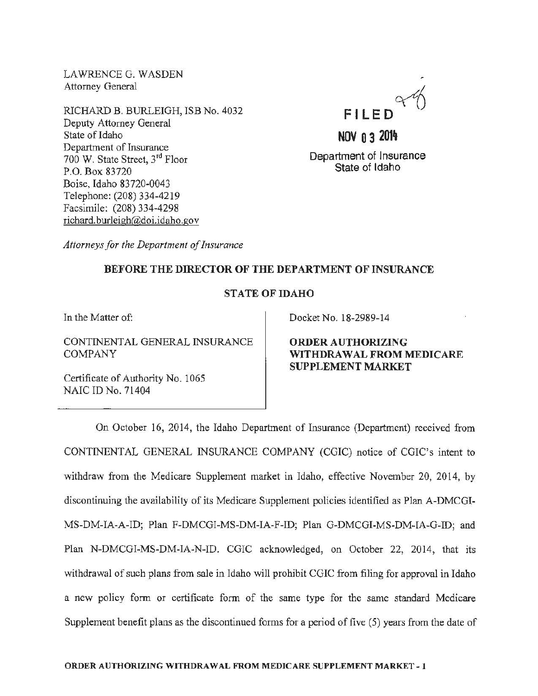LAWRENCEG. WASDEN Attorney General

RlCHARD B. BURLEIGH, ISB No. 4032 Deputy Attorney General State of Idaho Department of Insurance 700 W. State Street, 3rd Floor P.O. Box 83720 Boise, Idaho 83720-0043 Telephone: (208) 334-4219 Facsimile: (208) 334-4298 richard. burleigh@doi.idaho.gov



# **NOV 0 3 2014**

Department of Insurance State of Idaho

*Attorneys for the Department of Insurance* 

# BEFORE THE DIRECTOR OF THE DEPARTMENT OF INSURANCE

### STATE OF IDAHO

In the Matter of:

CONTINENTAL GENERAL INSURANCE COMPANY

Docket No. 18-2989-14

ORDER AUTHORIZING WITHDRAWAL FROM MEDICARE SUPPLEMENT MARKET

Certificate of Authority No. 1065 NAIC ID No. 71404

On October 16, 2014, the Idaho Department of Insurance (Department) received from CONTINENTAL GENERAL INSURANCE COMPANY (CGIC) notice of CGIC's intent to withdraw from the Medicare Supplement market in Idaho, effective November 20, 2014, by discontinuing the availability of its Medicare Supplement policies identified as Plan A-DMCGI-MS-DM-IA-A-ID; Plan F-DMCGI-MS-DM-IA-F-ID; Plan G-DMCGI-MS-DM-IA-G-ID; and Plan N-DMCGI-MS-DM-IA-N-ID. CGIC acknowledged, on October 22, 2014, that its withdrawal of such plans from sale in Idaho will prohibit CGIC from filing for approval in Idaho a new policy form or certificate form of the same type for the same standard Medicare Supplement benefit plans as the discontinued forms for a period of five (5) years from the date of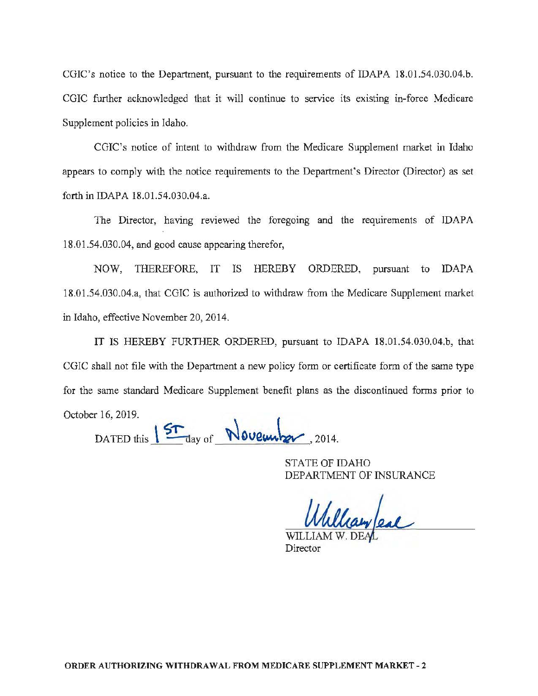CGIC's notice to the Department, pursuant to the requirements of IDAPA 18.01.54.030.04.b. CGIC further acknowledged that it will continue to service its existing in-force Medicare Supplement policies in Idaho.

CGIC's notice of intent to withdraw from the Medicare Supplement market in Idaho appears to comply with the notice requirements to the Department's Director (Director) as set forth in IDAPA 18.01.54.030.04.a.

The Director, having reviewed the foregoing and the requirements of IDAPA 18.0 1.54.030.04, and good cause appearing therefor,

NOW, THEREFORE, IT IS HEREBY ORDERED, pursuant to IDAPA 18.01.54.030.04.a, that CGIC is authorized to withdraw from the Medicare Supplement market in Idaho, effective November 20, 2014.

IT IS HEREBY FURTHER ORDERED, pursuant to IDAPA 18.01.54.030.04.b, that CGIC shall not file with the Department a new policy form or certificate form of the same type for the same standard Medicare Supplement benefit plans as the discontinued forms prior to October 16,2019.

DATED this  $15T_{\text{day of}}$  November, 2014.

STATE OF IDAHO DEPARTMENT OF INSURANCE

Wayleal

Director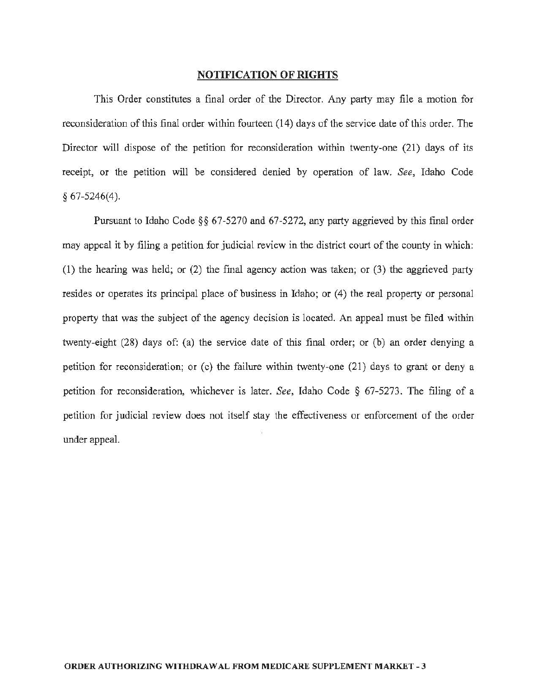#### NOTIFICATION OF RIGHTS

This Order constitutes a final order of the Director. Any party may file a motion for reconsideration ofthis final order within fourteen (14) days of the service date of this order. The Director will dispose of the petition for reconsideration within twenty-one (21) days of its receipt, or the petition will be considered denied by operation of law. *See,* Idaho Code *§* 67-5246(4).

Pursuant to Idaho Code§§ 67-5270 and 67-5272, any party aggrieved by this final order may appeal it by filing a petition for judicial review in the district court of the county in which: (1) the hearing was held; or (2) the final agency action was taken; or (3) the aggrieved party resides or operates its principal place of business in Idaho; or (4) the real property or personal property that was the subject of the agency decision is located. An appeal must be filed within twenty-eight (28) days of: (a) the service date of this final order; or (b) an order denying a petition for reconsideration; or (c) the failure within twenty-one (21) days to grant or deny a petition for reconsideration, whichever is later. *See,* Idaho Code *§* 67-5273. The filing of a petition for judicial review does not itself stay the effectiveness or enforcement of the order under appeal.